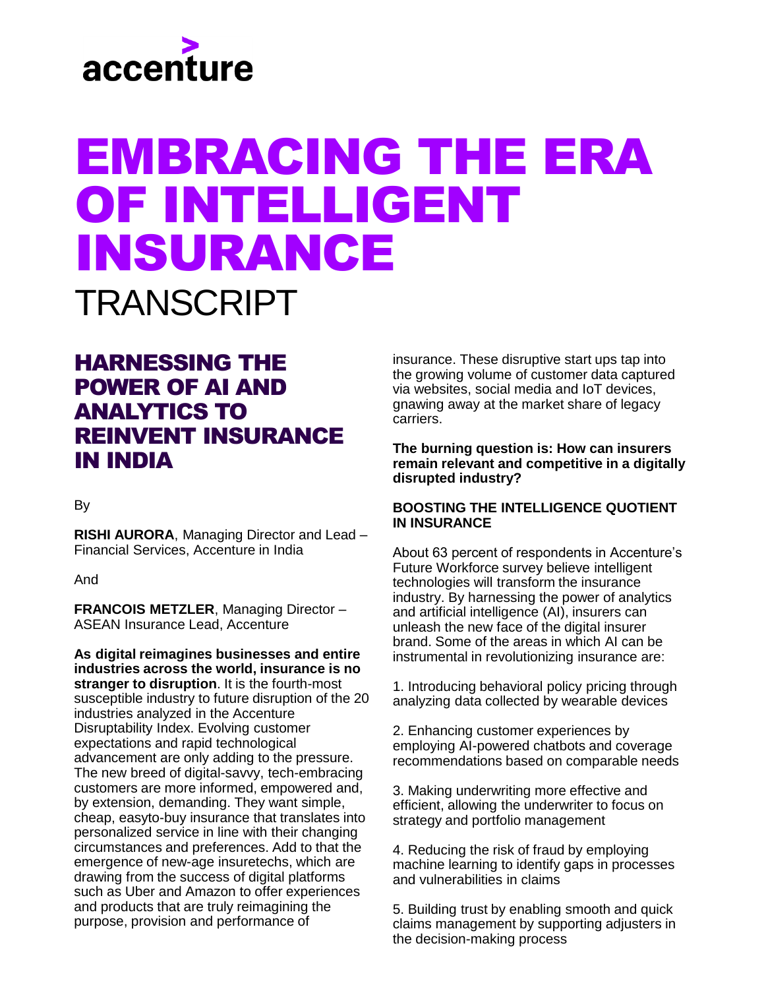# accenture

# EMBRACING THE ERA OF INTELLIGENT INSURANCE TRANSCRIPT

# HARNESSING THE POWER OF AI AND ANALYTICS TO REINVENT INSURANCE IN INDIA

# By

**RISHI AURORA**, Managing Director and Lead – Financial Services, Accenture in India

And

**FRANCOIS METZLER**, Managing Director – ASEAN Insurance Lead, Accenture

**As digital reimagines businesses and entire industries across the world, insurance is no stranger to disruption**. It is the fourth-most susceptible industry to future disruption of the 20 industries analyzed in the Accenture Disruptability Index. Evolving customer expectations and rapid technological advancement are only adding to the pressure. The new breed of digital-savvy, tech-embracing customers are more informed, empowered and, by extension, demanding. They want simple, cheap, easyto-buy insurance that translates into personalized service in line with their changing circumstances and preferences. Add to that the emergence of new-age insuretechs, which are drawing from the success of digital platforms such as Uber and Amazon to offer experiences and products that are truly reimagining the purpose, provision and performance of

insurance. These disruptive start ups tap into the growing volume of customer data captured via websites, social media and IoT devices, gnawing away at the market share of legacy carriers.

# **The burning question is: How can insurers remain relevant and competitive in a digitally disrupted industry?**

# **BOOSTING THE INTELLIGENCE QUOTIENT IN INSURANCE**

About 63 percent of respondents in Accenture's Future Workforce survey believe intelligent technologies will transform the insurance industry. By harnessing the power of analytics and artificial intelligence (AI), insurers can unleash the new face of the digital insurer brand. Some of the areas in which AI can be instrumental in revolutionizing insurance are:

1. Introducing behavioral policy pricing through analyzing data collected by wearable devices

2. Enhancing customer experiences by employing AI-powered chatbots and coverage recommendations based on comparable needs

3. Making underwriting more effective and efficient, allowing the underwriter to focus on strategy and portfolio management

4. Reducing the risk of fraud by employing machine learning to identify gaps in processes and vulnerabilities in claims

5. Building trust by enabling smooth and quick claims management by supporting adjusters in the decision-making process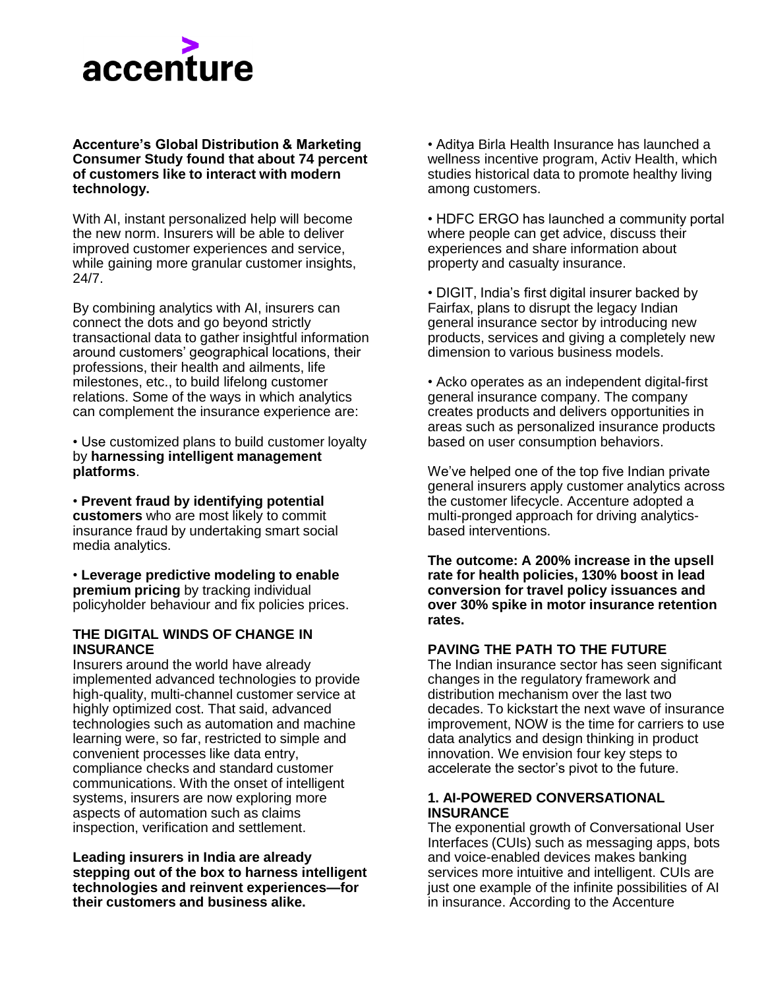# accenture

### **Accenture's Global Distribution & Marketing Consumer Study found that about 74 percent of customers like to interact with modern technology.**

With AI, instant personalized help will become the new norm. Insurers will be able to deliver improved customer experiences and service, while gaining more granular customer insights, 24/7.

By combining analytics with AI, insurers can connect the dots and go beyond strictly transactional data to gather insightful information around customers' geographical locations, their professions, their health and ailments, life milestones, etc., to build lifelong customer relations. Some of the ways in which analytics can complement the insurance experience are:

• Use customized plans to build customer loyalty by **harnessing intelligent management platforms**.

• **Prevent fraud by identifying potential customers** who are most likely to commit insurance fraud by undertaking smart social media analytics.

• **Leverage predictive modeling to enable premium pricing** by tracking individual policyholder behaviour and fix policies prices.

# **THE DIGITAL WINDS OF CHANGE IN INSURANCE**

Insurers around the world have already implemented advanced technologies to provide high-quality, multi-channel customer service at highly optimized cost. That said, advanced technologies such as automation and machine learning were, so far, restricted to simple and convenient processes like data entry, compliance checks and standard customer communications. With the onset of intelligent systems, insurers are now exploring more aspects of automation such as claims inspection, verification and settlement.

**Leading insurers in India are already stepping out of the box to harness intelligent technologies and reinvent experiences—for their customers and business alike.**

• Aditya Birla Health Insurance has launched a wellness incentive program, Activ Health, which studies historical data to promote healthy living among customers.

• HDFC ERGO has launched a community portal where people can get advice, discuss their experiences and share information about property and casualty insurance.

• DIGIT, India's first digital insurer backed by Fairfax, plans to disrupt the legacy Indian general insurance sector by introducing new products, services and giving a completely new dimension to various business models.

• Acko operates as an independent digital-first general insurance company. The company creates products and delivers opportunities in areas such as personalized insurance products based on user consumption behaviors.

We've helped one of the top five Indian private general insurers apply customer analytics across the customer lifecycle. Accenture adopted a multi-pronged approach for driving analyticsbased interventions.

**The outcome: A 200% increase in the upsell rate for health policies, 130% boost in lead conversion for travel policy issuances and over 30% spike in motor insurance retention rates.**

# **PAVING THE PATH TO THE FUTURE**

The Indian insurance sector has seen significant changes in the regulatory framework and distribution mechanism over the last two decades. To kickstart the next wave of insurance improvement, NOW is the time for carriers to use data analytics and design thinking in product innovation. We envision four key steps to accelerate the sector's pivot to the future.

# **1. AI-POWERED CONVERSATIONAL INSURANCE**

The exponential growth of Conversational User Interfaces (CUIs) such as messaging apps, bots and voice-enabled devices makes banking services more intuitive and intelligent. CUIs are just one example of the infinite possibilities of AI in insurance. According to the Accenture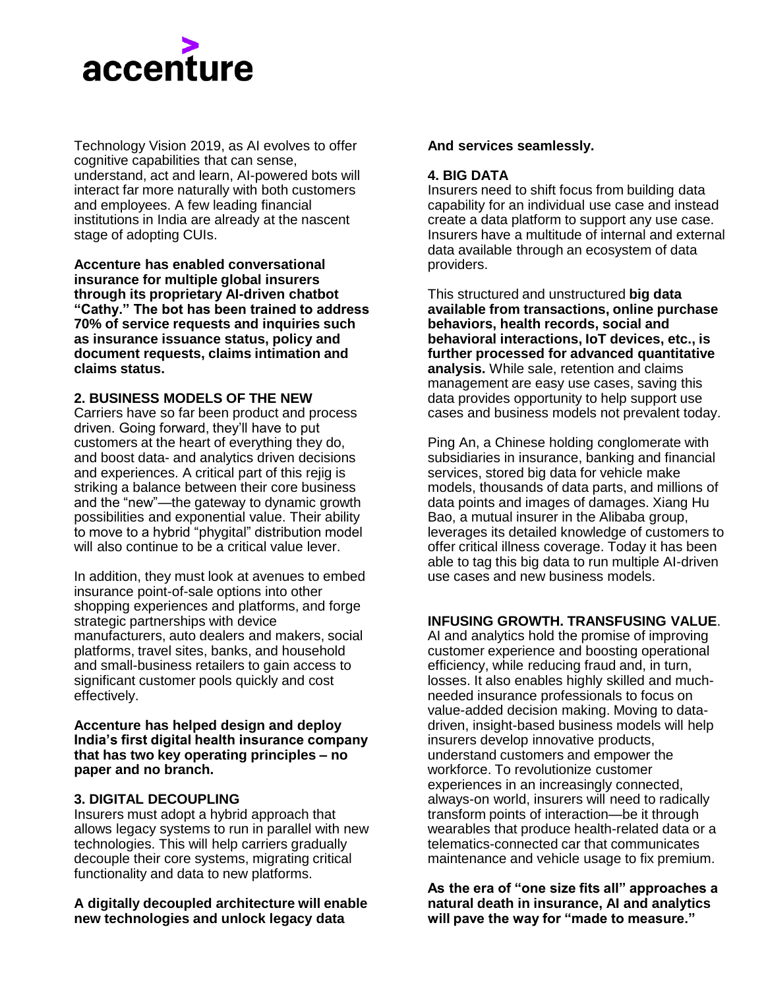

Technology Vision 2019, as AI evolves to offer cognitive capabilities that can sense, understand, act and learn, AI-powered bots will interact far more naturally with both customers and employees. A few leading financial institutions in India are already at the nascent stage of adopting CUIs.

**Accenture has enabled conversational insurance for multiple global insurers through its proprietary AI-driven chatbot "Cathy." The bot has been trained to address 70% of service requests and inquiries such as insurance issuance status, policy and document requests, claims intimation and claims status.**

# **2. BUSINESS MODELS OF THE NEW**

Carriers have so far been product and process driven. Going forward, they'll have to put customers at the heart of everything they do, and boost data- and analytics driven decisions and experiences. A critical part of this rejig is striking a balance between their core business and the "new"—the gateway to dynamic growth possibilities and exponential value. Their ability to move to a hybrid "phygital" distribution model will also continue to be a critical value lever.

In addition, they must look at avenues to embed insurance point-of-sale options into other shopping experiences and platforms, and forge strategic partnerships with device manufacturers, auto dealers and makers, social platforms, travel sites, banks, and household and small-business retailers to gain access to significant customer pools quickly and cost effectively.

**Accenture has helped design and deploy India's first digital health insurance company that has two key operating principles – no paper and no branch.**

### **3. DIGITAL DECOUPLING**

Insurers must adopt a hybrid approach that allows legacy systems to run in parallel with new technologies. This will help carriers gradually decouple their core systems, migrating critical functionality and data to new platforms.

#### **A digitally decoupled architecture will enable new technologies and unlock legacy data**

#### **And services seamlessly.**

#### **4. BIG DATA**

Insurers need to shift focus from building data capability for an individual use case and instead create a data platform to support any use case. Insurers have a multitude of internal and external data available through an ecosystem of data providers.

This structured and unstructured **big data available from transactions, online purchase behaviors, health records, social and behavioral interactions, IoT devices, etc., is further processed for advanced quantitative analysis.** While sale, retention and claims management are easy use cases, saving this data provides opportunity to help support use cases and business models not prevalent today.

Ping An, a Chinese holding conglomerate with subsidiaries in insurance, banking and financial services, stored big data for vehicle make models, thousands of data parts, and millions of data points and images of damages. Xiang Hu Bao, a mutual insurer in the Alibaba group, leverages its detailed knowledge of customers to offer critical illness coverage. Today it has been able to tag this big data to run multiple AI-driven use cases and new business models.

### **INFUSING GROWTH. TRANSFUSING VALUE**.

AI and analytics hold the promise of improving customer experience and boosting operational efficiency, while reducing fraud and, in turn, losses. It also enables highly skilled and muchneeded insurance professionals to focus on value-added decision making. Moving to datadriven, insight-based business models will help insurers develop innovative products, understand customers and empower the workforce. To revolutionize customer experiences in an increasingly connected, always-on world, insurers will need to radically transform points of interaction—be it through wearables that produce health-related data or a telematics-connected car that communicates maintenance and vehicle usage to fix premium.

**As the era of "one size fits all" approaches a natural death in insurance, AI and analytics will pave the way for "made to measure."**